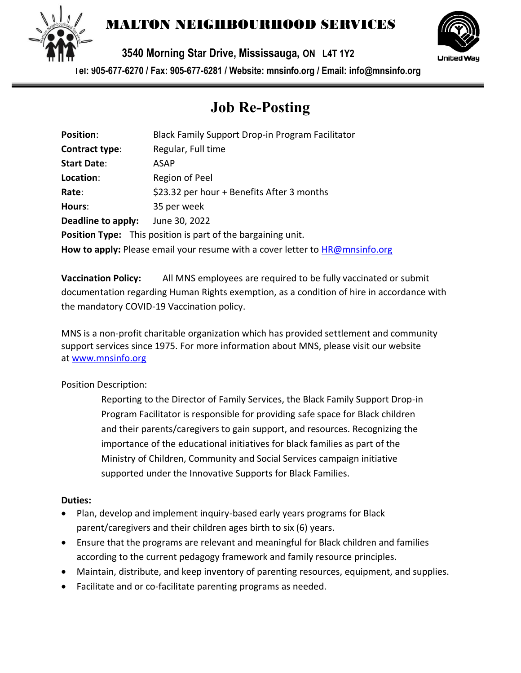

## MALTON NEIGHBOURHOOD SERVICES

**3540 Morning Star Drive, Mississauga, ON L4T 1Y2** 



**Tel: 905-677-6270 / Fax: 905-677-6281 / Website: mnsinfo.org / Email: info@mnsinfo.org**

# **Job Re-Posting**

| <b>Position:</b>                                                             | Black Family Support Drop-in Program Facilitator                    |
|------------------------------------------------------------------------------|---------------------------------------------------------------------|
| Contract type:                                                               | Regular, Full time                                                  |
| <b>Start Date:</b>                                                           | ASAP                                                                |
| Location:                                                                    | Region of Peel                                                      |
| Rate:                                                                        | \$23.32 per hour + Benefits After 3 months                          |
| Hours:                                                                       | 35 per week                                                         |
| Deadline to apply:                                                           | June 30, 2022                                                       |
|                                                                              | <b>Position Type:</b> This position is part of the bargaining unit. |
| How to apply: Please email your resume with a cover letter to HR@mnsinfo.org |                                                                     |

**Vaccination Policy:** All MNS employees are required to be fully vaccinated or submit documentation regarding Human Rights exemption, as a condition of hire in accordance with the mandatory COVID-19 Vaccination policy.

MNS is a non-profit charitable organization which has provided settlement and community support services since 1975. For more information about MNS, please visit our website at [www.mnsinfo.org](http://www.mnsinfo.org/)

#### Position Description:

Reporting to the Director of Family Services, the Black Family Support Drop-in Program Facilitator is responsible for providing safe space for Black children and their parents/caregivers to gain support, and resources. Recognizing the importance of the educational initiatives for black families as part of the Ministry of Children, Community and Social Services campaign initiative supported under the Innovative Supports for Black Families.

#### **Duties:**

- Plan, develop and implement inquiry-based early years programs for Black parent/caregivers and their children ages birth to six (6) years.
- Ensure that the programs are relevant and meaningful for Black children and families according to the current pedagogy framework and family resource principles.
- Maintain, distribute, and keep inventory of parenting resources, equipment, and supplies.
- Facilitate and or co-facilitate parenting programs as needed.